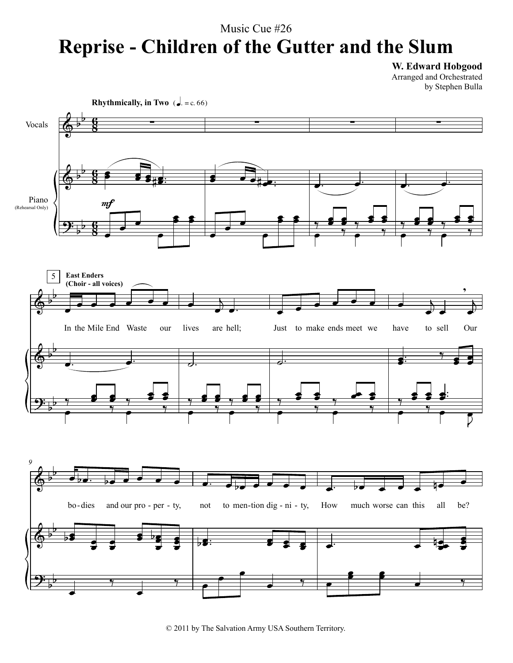## Music Cue #26 **Reprise - Children of the Gutter and the Slum**

**W. Edward Hobgood**

Arranged and Orchestrated by Stephen Bulla



© 2011 by The Salvation Army USA Southern Territory.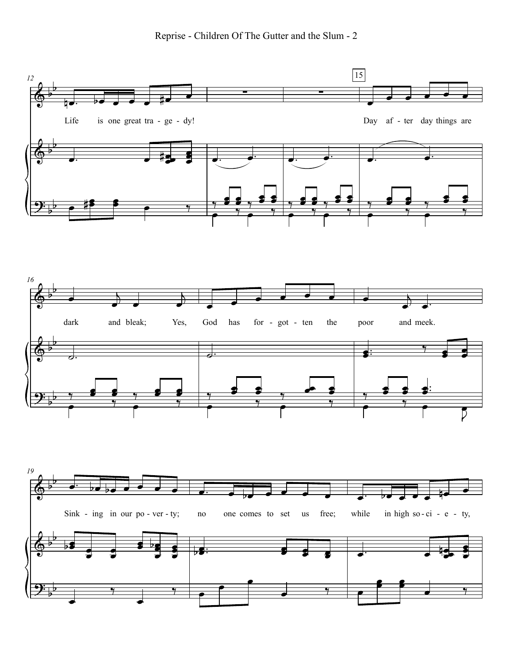Reprise - Children Of The Gutter and the Slum - 2

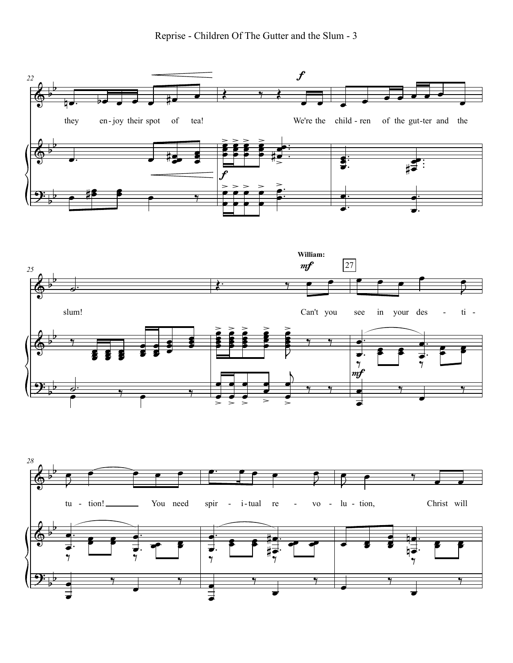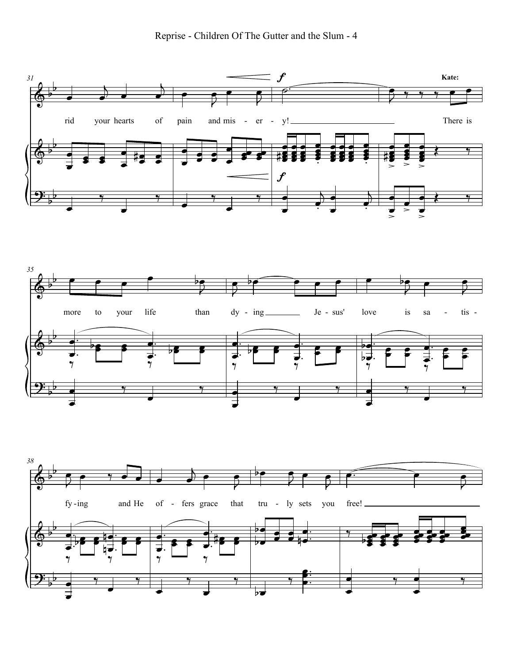



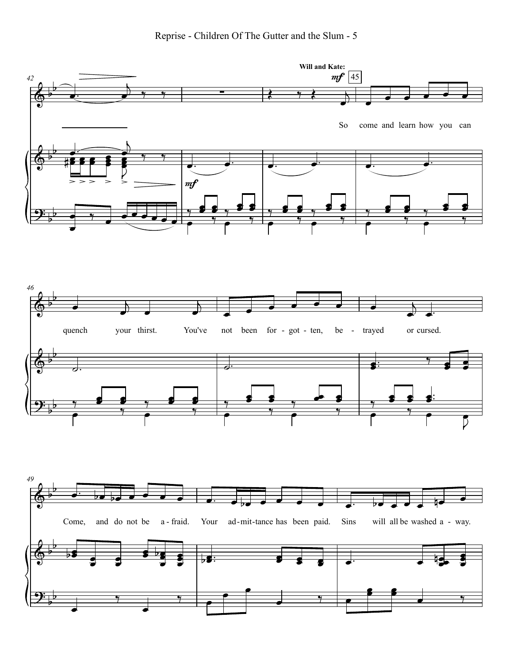